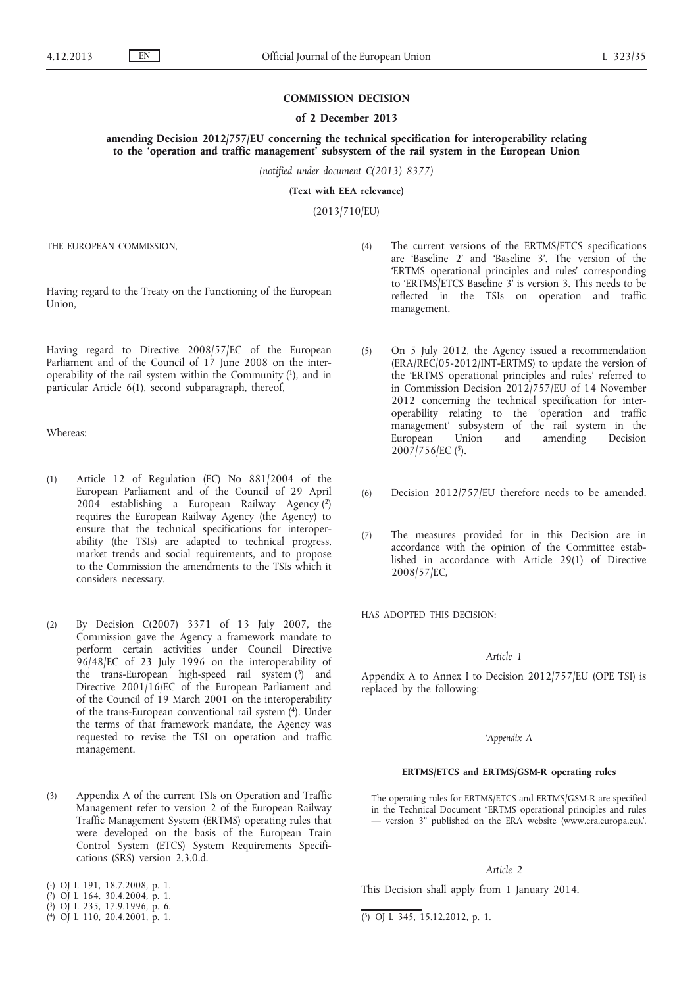## **COMMISSION DECISION**

#### **of 2 December 2013**

**amending Decision 2012/757/EU concerning the technical specification for interoperability relating to the 'operation and traffic management' subsystem of the rail system in the European Union**

*(notified under document C(2013) 8377)*

**(Text with EEA relevance)**

(2013/710/EU)

THE EUROPEAN COMMISSION,

Having regard to the Treaty on the Functioning of the European Union,

Having regard to Directive 2008/57/EC of the European Parliament and of the Council of 17 June 2008 on the interoperability of the rail system within the Community  $(1)$ , and in particular Article 6(1), second subparagraph, thereof,

Whereas:

- (1) Article 12 of Regulation (EC) No 881/2004 of the European Parliament and of the Council of 29 April 2004 establishing a European Railway Agency (2) requires the European Railway Agency (the Agency) to ensure that the technical specifications for interoperability (the TSIs) are adapted to technical progress, market trends and social requirements, and to propose to the Commission the amendments to the TSIs which it considers necessary.
- (2) By Decision C(2007) 3371 of 13 July 2007, the Commission gave the Agency a framework mandate to perform certain activities under Council Directive 96/48/EC of 23 July 1996 on the interoperability of the trans-European high-speed rail system (3) and Directive 2001/16/EC of the European Parliament and of the Council of 19 March 2001 on the interoperability of the trans-European conventional rail system  $(4)$ . Under the terms of that framework mandate, the Agency was requested to revise the TSI on operation and traffic management.
- (3) Appendix A of the current TSIs on Operation and Traffic Management refer to version 2 of the European Railway Traffic Management System (ERTMS) operating rules that were developed on the basis of the European Train Control System (ETCS) System Requirements Specifications (SRS) version 2.3.0.d.
- ( 1) OJ L 191, 18.7.2008, p. 1.

( 3) OJ L 235, 17.9.1996, p. 6.

- (4) The current versions of the ERTMS/ETCS specifications are 'Baseline 2' and 'Baseline 3'. The version of the 'ERTMS operational principles and rules' corresponding to 'ERTMS/ETCS Baseline 3' is version 3. This needs to be reflected in the TSIs on operation and traffic management.
- (5) On 5 July 2012, the Agency issued a recommendation (ERA/REC/05-2012/INT-ERTMS) to update the version of the 'ERTMS operational principles and rules' referred to in Commission Decision 2012/757/EU of 14 November 2012 concerning the technical specification for interoperability relating to the 'operation and traffic management' subsystem of the rail system in the European Union and amending Decision 2007/756/EC (5).
- (6) Decision 2012/757/EU therefore needs to be amended.
- (7) The measures provided for in this Decision are in accordance with the opinion of the Committee established in accordance with Article 29(1) of Directive 2008/57/EC,

HAS ADOPTED THIS DECISION:

#### *Article 1*

Appendix A to Annex I to Decision 2012/757/EU (OPE TSI) is replaced by the following:

### *'Appendix A*

#### **ERTMS/ETCS and ERTMS/GSM-R operating rules**

The operating rules for ERTMS/ETCS and ERTMS/GSM-R are specified in the Technical Document "ERTMS operational principles and rules — version 3" published on the ERA website ([www.era.europa.eu](http://www.era.europa.eu)).'.

## *Article 2*

This Decision shall apply from 1 January 2014.

<sup>(</sup> 2) OJ L 164, 30.4.2004, p. 1.

 $(4)$  OJ L 110, 20.4.2001, p. 1.

 $\overline{(\overline{5})}$  OJ L 345, 15.12.2012, p. 1.